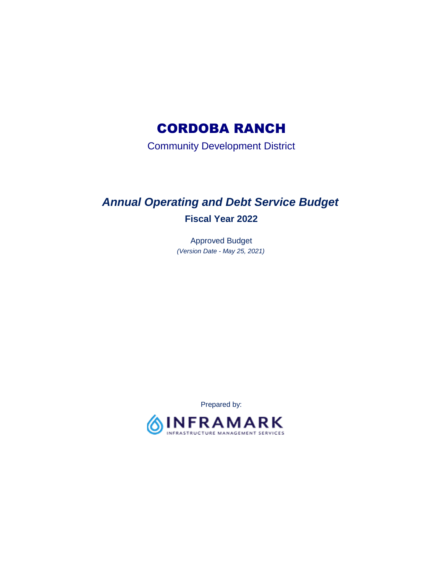# CORDOBA RANCH

Community Development District

# *Annual Operating and Debt Service Budget*  **Fiscal Year 2022**

 *(Version Date - May 25, 2021)*  Approved Budget

Prepared by:

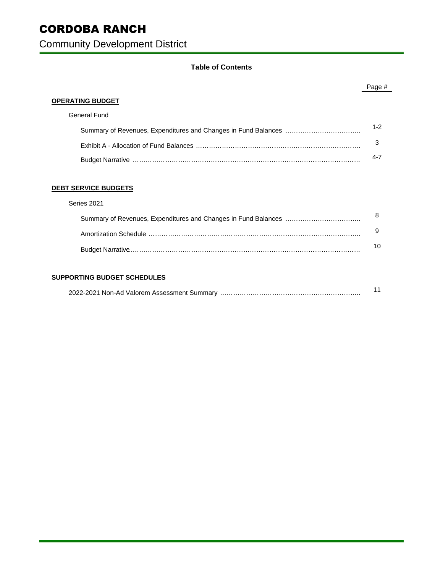# CORDOBA RANCH

Community Development District

## **Table of Contents**

## Summary of Revenues, Expenditures and Changes in Fund Balances …………………………….. Exhibit A - Allocation of Fund Balances …………………………………………………………………. **OPERATING BUDGET**  General Fund Page # 1-2 3 4-7

Budget Narrative ……………………………………………………………………………………………

### **DEBT SERVICE BUDGETS**

### Summary of Revenues, Expenditures and Changes in Fund Balances …………………………….. Series 2021 Amortization Schedule …………………………………………………………………………………….. Budget Narrative………………………………………………………………………………………………… 8 9 10

### **SUPPORTING BUDGET SCHEDULES**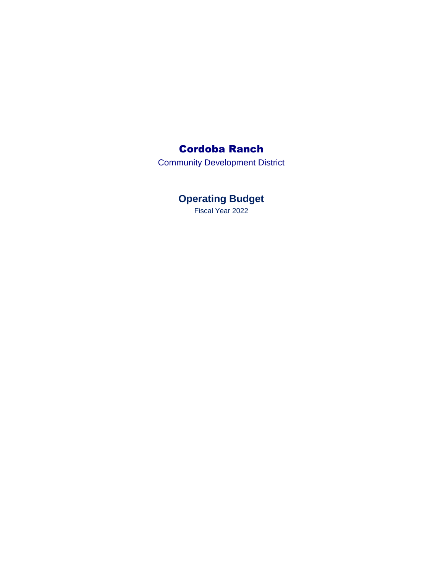# Cordoba Ranch

Community Development District

**Operating Budget** 

Fiscal Year 2022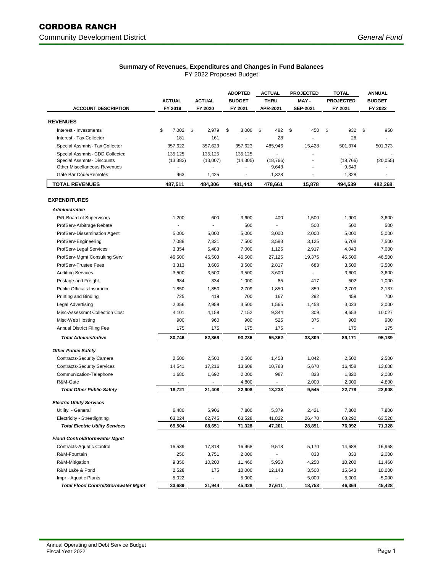### **Summary of Revenues, Expenditures and Changes in Fund Balances**

FY 2022 Proposed Budget

|                                            |                          |                          | <b>ADOPTED</b>           | <b>ACTUAL</b>            | <b>PROJECTED</b>         | TOTAL            | <b>ANNUAL</b> |  |
|--------------------------------------------|--------------------------|--------------------------|--------------------------|--------------------------|--------------------------|------------------|---------------|--|
|                                            | <b>ACTUAL</b>            | <b>ACTUAL</b>            | <b>BUDGET</b>            | <b>THRU</b>              | MAY-                     | <b>PROJECTED</b> | <b>BUDGET</b> |  |
| <b>ACCOUNT DESCRIPTION</b>                 | FY 2019                  | FY 2020                  | FY 2021                  | APR-2021                 | <b>SEP-2021</b>          | FY 2021          | FY 2022       |  |
| <b>REVENUES</b>                            |                          |                          |                          |                          |                          |                  |               |  |
| Interest - Investments                     | \$<br>7,002              | \$<br>2,979              | \$<br>3,000              | 482<br>\$                | \$<br>450                | 932<br>\$        | \$<br>950     |  |
| Interest - Tax Collector                   | 181                      | 161                      |                          | 28                       | $\blacksquare$           | 28               |               |  |
| Special Assmnts- Tax Collector             | 357,622                  | 357,623                  | 357,623                  | 485,946                  | 15,428                   | 501,374          | 501,373       |  |
| Special Assmnts- CDD Collected             | 135,125                  | 135,125                  | 135,125                  |                          |                          |                  |               |  |
| Special Assmnts- Discounts                 | (13, 382)                | (13,007)                 | (14, 305)                | (18, 766)                |                          | (18, 766)        | (20, 055)     |  |
| <b>Other Miscellaneous Revenues</b>        | $\overline{a}$           |                          |                          | 9,643                    |                          | 9,643            |               |  |
| Gate Bar Code/Remotes                      | 963                      | 1,425                    | $\overline{\phantom{a}}$ | 1,328                    |                          | 1,328            |               |  |
| <b>TOTAL REVENUES</b>                      | 487,511                  | 484,306                  | 481,443                  | 478,661                  | 15,878                   | 494,539          | 482,268       |  |
| <b>EXPENDITURES</b>                        |                          |                          |                          |                          |                          |                  |               |  |
| <b>Administrative</b>                      |                          |                          |                          |                          |                          |                  |               |  |
| P/R-Board of Supervisors                   | 1,200                    | 600                      | 3,600                    | 400                      | 1,500                    | 1,900            | 3,600         |  |
| ProfServ-Arbitrage Rebate                  | $\overline{a}$           |                          | 500                      | $\overline{\phantom{a}}$ | 500                      | 500              | 500           |  |
| ProfServ-Dissemination Agent               | 5,000                    | 5,000                    | 5,000                    | 3,000                    | 2,000                    | 5,000            | 5,000         |  |
| ProfServ-Engineering                       | 7,088                    | 7,321                    | 7,500                    | 3,583                    | 3,125                    | 6,708            | 7,500         |  |
| ProfServ-Legal Services                    | 3,354                    | 5,483                    | 7,000                    | 1,126                    | 2,917                    | 4,043            | 7,000         |  |
| ProfServ-Mgmt Consulting Serv              | 46,500                   | 46,503                   | 46,500                   | 27,125                   | 19,375                   | 46,500           | 46,500        |  |
| ProfServ-Trustee Fees                      | 3,313                    | 3,606                    | 3,500                    | 2,817                    | 683                      | 3,500            | 3,500         |  |
| <b>Auditing Services</b>                   | 3,500                    | 3,500                    | 3,500                    | 3,600                    | $\overline{\phantom{a}}$ | 3,600            | 3,600         |  |
| Postage and Freight                        | 684                      | 334                      | 1,000                    | 85                       | 417                      | 502              | 1,000         |  |
| Public Officials Insurance                 | 1,850                    | 1,850                    | 2,709                    | 1,850                    | 859                      | 2,709            | 2,137         |  |
| Printing and Binding                       | 725                      | 419                      | 700                      | 167                      | 292                      | 459              | 700           |  |
| <b>Legal Advertising</b>                   | 2,356                    | 2,959                    | 3,500                    | 1,565                    | 1,458                    | 3,023            | 3,000         |  |
| Misc-Assessmnt Collection Cost             | 4,101                    | 4,159                    | 7,152                    | 9,344                    | 309                      | 9,653            | 10,027        |  |
| Misc-Web Hosting                           | 900                      | 960                      | 900                      | 525                      | 375                      | 900              | 900           |  |
| Annual District Filing Fee                 | 175                      | 175                      | 175                      | 175                      |                          | 175              | 175           |  |
| <b>Total Administrative</b>                | 80,746                   | 82,869                   | 93,236                   | 55,362                   | 33,809                   | 89,171           | 95,139        |  |
|                                            |                          |                          |                          |                          |                          |                  |               |  |
| <b>Other Public Safety</b>                 |                          |                          |                          |                          |                          |                  |               |  |
| <b>Contracts-Security Camera</b>           | 2,500                    | 2,500                    | 2,500                    | 1,458                    | 1,042                    | 2,500            | 2,500         |  |
| <b>Contracts-Security Services</b>         | 14,541                   | 17,216                   | 13,608                   | 10,788                   | 5,670                    | 16,458           | 13,608        |  |
| Communication-Telephone                    | 1,680                    | 1,692                    | 2,000                    | 987                      | 833                      | 1,820            | 2,000         |  |
| R&M-Gate                                   | $\overline{\phantom{a}}$ | $\overline{a}$           | 4,800                    | $\overline{a}$           | 2,000                    | 2,000            | 4,800         |  |
| <b>Total Other Public Safety</b>           | 18,721                   | 21,408                   | 22,908                   | 13,233                   | 9,545                    | 22,778           | 22,908        |  |
| <b>Electric Utility Services</b>           |                          |                          |                          |                          |                          |                  |               |  |
| Utility - General                          | 6,480                    | 5,906                    | 7,800                    | 5,379                    | 2,421                    | 7,800            | 7,800         |  |
| Electricity - Streetlighting               | 63,024                   | 62,745                   | 63,528                   | 41,822                   | 26,470                   | 68,292           | 63,528        |  |
| <b>Total Electric Utility Services</b>     | 69,504                   | 68,651                   | 71,328                   | 47,201                   | 28,891                   | 76,092           | 71,328        |  |
| <b>Flood Control/Stormwater Mgmt</b>       |                          |                          |                          |                          |                          |                  |               |  |
| Contracts-Aquatic Control                  | 16,539                   | 17,818                   | 16,968                   | 9,518                    | 5,170                    | 14,688           | 16,968        |  |
| R&M-Fountain                               | 250                      | 3,751                    | 2,000                    | $\overline{\phantom{a}}$ | 833                      | 833              | 2,000         |  |
| R&M-Mitigation                             | 9,350                    | 10,200                   | 11,460                   | 5,950                    | 4,250                    | 10,200           | 11,460        |  |
| R&M Lake & Pond                            | 2,528                    | 175                      | 10,000                   | 12,143                   | 3,500                    | 15,643           | 10,000        |  |
| Impr - Aquatic Plants                      | 5,022                    | $\overline{\phantom{a}}$ | 5,000                    | $\blacksquare$           | 5,000                    | 5,000            | 5,000         |  |
| <b>Total Flood Control/Stormwater Mgmt</b> | 33,689                   | 31,944                   | 45,428                   | 27,611                   | 18,753                   | 46,364           | 45,428        |  |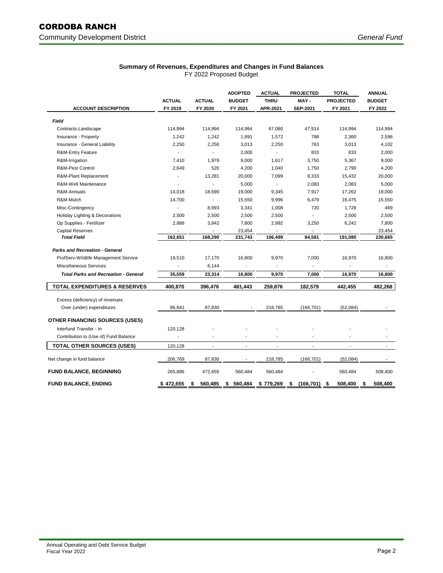# CORDOBA RANCH

## **Summary of Revenues, Expenditures and Changes in Fund Balances**

FY 2022 Proposed Budget

|                                             |               |                          | <b>ADOPTED</b> | <b>ACTUAL</b>            | <b>PROJECTED</b>         | <b>TOTAL</b>     | <b>ANNUAL</b> |
|---------------------------------------------|---------------|--------------------------|----------------|--------------------------|--------------------------|------------------|---------------|
|                                             | <b>ACTUAL</b> | <b>ACTUAL</b>            | <b>BUDGET</b>  | <b>THRU</b>              | MAY-                     | <b>PROJECTED</b> | <b>BUDGET</b> |
| <b>ACCOUNT DESCRIPTION</b>                  | FY 2019       | FY 2020                  | FY 2021        | APR-2021                 | <b>SEP-2021</b>          | FY 2021          | FY 2022       |
| Field                                       |               |                          |                |                          |                          |                  |               |
| Contracts-Landscape                         | 114,994       | 114,994                  | 114,994        | 67,080                   | 47,914                   | 114,994          | 114,994       |
| Insurance - Property                        | 1,242         | 1,242                    | 1,891          | 1,572                    | 788                      | 2,360            | 2,596         |
| Insurance - General Liability               | 2,250         | 2,250                    | 3,013          | 2,250                    | 763                      | 3,013            | 4,102         |
| <b>R&amp;M-Entry Feature</b>                |               | $\overline{\phantom{a}}$ | 2,000          | $\overline{\phantom{a}}$ | 833                      | 833              | 2,000         |
| R&M-Irrigation                              | 7,410         | 1,978                    | 9,000          | 1,617                    | 3,750                    | 5,367            | 9,000         |
| <b>R&amp;M-Pest Control</b>                 | 2,649         | 520                      | 4,200          | 1,040                    | 1,750                    | 2,790            | 4,200         |
| R&M-Plant Replacement                       |               | 13,281                   | 20,000         | 7,099                    | 8,333                    | 15,432           | 20,000        |
| R&M-Well Maintenance                        |               | $\overline{a}$           | 5,000          | $\overline{\phantom{a}}$ | 2,083                    | 2,083            | 5,000         |
| R&M-Annuals                                 | 14,018        | 18,690                   | 19,000         | 9,345                    | 7,917                    | 17,262           | 19,000        |
| R&M-Mulch                                   | 14,700        | ÷,                       | 15,550         | 9,996                    | 6,479                    | 16,475           | 15,550        |
| Misc-Contingency                            |               | 8,993                    | 3,341          | 1,008                    | 720                      | 1,728            | 469           |
| Holiday Lighting & Decorations              | 2,500         | 2,500                    | 2,500          | 2,500                    |                          | 2,500            | 2,500         |
| Op Supplies - Fertilizer                    | 2,888         | 3,842                    | 7,800          | 2,992                    | 3,250                    | 6,242            | 7,800         |
| <b>Capital Reserves</b>                     |               |                          | 23,454         |                          |                          |                  | 23,454        |
| <b>Total Field</b>                          | 162,651       | 168,290                  | 231,743        | 106,499                  | 84,581                   | 191,080          | 230,665       |
| <b>Parks and Recreation - General</b>       |               |                          |                |                          |                          |                  |               |
| ProfServ-Wildlife Management Service        | 19.510        | 17,170                   | 16,800         | 9,970                    | 7,000                    | 16,970           | 16,800        |
| <b>Miscellaneous Services</b>               |               | 6,144                    |                | $\blacksquare$           | $\overline{\phantom{a}}$ | ÷,               |               |
| <b>Total Parks and Recreation - General</b> | 35,559        | 23,314                   | 16,800         | 9,970                    | 7,000                    | 16,970           | 16,800        |
| <b>TOTAL EXPENDITURES &amp; RESERVES</b>    | 400,870       | 396,476                  | 481,443        | 259,876                  | 182,579                  | 442,455          | 482,268       |
| Excess (deficiency) of revenues             |               |                          |                |                          |                          |                  |               |
| Over (under) expenditures                   | 86,641        | 87,830                   |                | 218,785                  | (166, 701)               | (52,084)         |               |
|                                             |               |                          |                |                          |                          |                  |               |
| <b>OTHER FINANCING SOURCES (USES)</b>       |               |                          |                |                          |                          |                  |               |
| Interfund Transfer - In                     | 120,128       |                          |                |                          |                          |                  |               |
| Contribution to (Use of) Fund Balance       |               |                          |                |                          |                          |                  |               |
| <b>TOTAL OTHER SOURCES (USES)</b>           | 120,128       | $\overline{a}$           | $\overline{a}$ |                          |                          |                  |               |
| Net change in fund balance                  | 206,769       | 87,830                   | $\blacksquare$ | 218,785                  | (166, 701)               | (52,084)         |               |
| <b>FUND BALANCE, BEGINNING</b>              | 265,886       | 472,655                  | 560,484        | 560,484                  |                          | 560,484          | 508,400       |
| <b>FUND BALANCE, ENDING</b>                 | \$472,655     | \$<br>560,485            | \$<br>560,484  | \$779,269                | \$<br>(166, 701)         | \$<br>508,400    | \$<br>508,400 |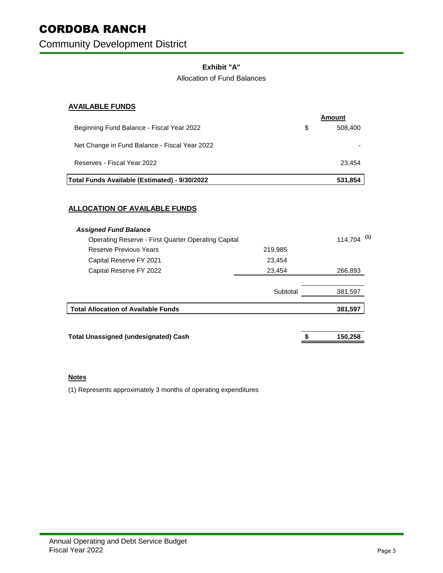Community Development District

## **Exhibit "A"**

## Allocation of Fund Balances

## **AVAILABLE FUNDS**

|                                               | Amount        |
|-----------------------------------------------|---------------|
| Beginning Fund Balance - Fiscal Year 2022     | \$<br>508,400 |
| Net Change in Fund Balance - Fiscal Year 2022 |               |
| Reserves - Fiscal Year 2022                   | 23.454        |
| Total Funds Available (Estimated) - 9/30/2022 | 531,854       |
|                                               |               |

## **ALLOCATION OF AVAILABLE FUNDS**

| <b>Assigned Fund Balance</b>                               |          |                          |
|------------------------------------------------------------|----------|--------------------------|
| <b>Operating Reserve - First Quarter Operating Capital</b> |          | $114,704$ <sup>(1)</sup> |
| Reserve Previous Years                                     | 219,985  |                          |
| Capital Reserve FY 2021                                    | 23,454   |                          |
| Capital Reserve FY 2022                                    | 23,454   | 266,893                  |
|                                                            | Subtotal | 381,597                  |
| <b>Total Allocation of Available Funds</b>                 |          | 381,597                  |
| <b>Total Unassigned (undesignated) Cash</b>                |          | 150.258                  |

## **Notes**

(1) Represents approximately 3 months of operating expenditures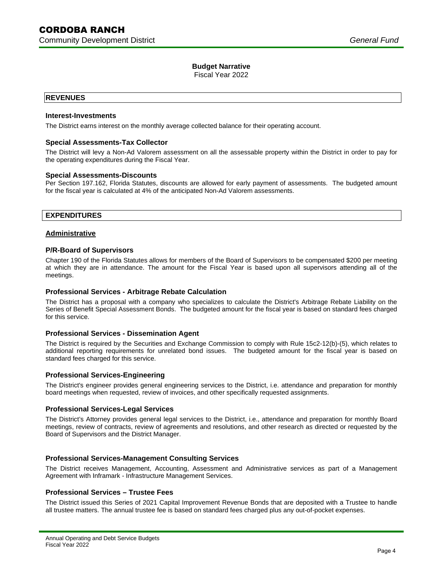Fiscal Year 2022

### **REVENUES**

### **Interest-Investments**

The District earns interest on the monthly average collected balance for their operating account.

### **Special Assessments-Tax Collector**

 The District will levy a Non-Ad Valorem assessment on all the assessable property within the District in order to pay for the operating expenditures during the Fiscal Year.

### **Special Assessments-Discounts**

 Per Section 197.162, Florida Statutes, discounts are allowed for early payment of assessments. The budgeted amount for the fiscal year is calculated at 4% of the anticipated Non-Ad Valorem assessments.

### **EXPENDITURES**

### **Administrative**

### **P/R-Board of Supervisors**

 Chapter 190 of the Florida Statutes allows for members of the Board of Supervisors to be compensated \$200 per meeting at which they are in attendance. The amount for the Fiscal Year is based upon all supervisors attending all of the meetings.

### **Professional Services - Arbitrage Rebate Calculation**

 The District has a proposal with a company who specializes to calculate the District's Arbitrage Rebate Liability on the Series of Benefit Special Assessment Bonds. The budgeted amount for the fiscal year is based on standard fees charged for this service.

### **Professional Services - Dissemination Agent**

 The District is required by the Securities and Exchange Commission to comply with Rule 15c2-12(b)-(5), which relates to additional reporting requirements for unrelated bond issues. The budgeted amount for the fiscal year is based on standard fees charged for this service.

### **Professional Services-Engineering**

 The District's engineer provides general engineering services to the District, i.e. attendance and preparation for monthly board meetings when requested, review of invoices, and other specifically requested assignments.

### **Professional Services-Legal Services**

 The District's Attorney provides general legal services to the District, i.e., attendance and preparation for monthly Board meetings, review of contracts, review of agreements and resolutions, and other research as directed or requested by the Board of Supervisors and the District Manager.

### **Professional Services-Management Consulting Services**

 The District receives Management, Accounting, Assessment and Administrative services as part of a Management Agreement with Inframark - Infrastructure Management Services.

### **Professional Services – Trustee Fees**

 The District issued this Series of 2021 Capital Improvement Revenue Bonds that are deposited with a Trustee to handle all trustee matters. The annual trustee fee is based on standard fees charged plus any out-of-pocket expenses.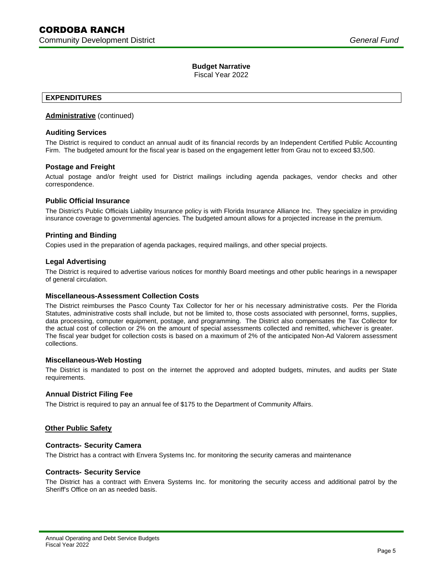Fiscal Year 2022

## **EXPENDITURES**

### **Administrative** (continued)

### **Auditing Services**

 The District is required to conduct an annual audit of its financial records by an Independent Certified Public Accounting Firm. The budgeted amount for the fiscal year is based on the engagement letter from Grau not to exceed \$3,500.

### **Postage and Freight**

 Actual postage and/or freight used for District mailings including agenda packages, vendor checks and other correspondence.

### **Public Official Insurance**

 The District's Public Officials Liability Insurance policy is with Florida Insurance Alliance Inc. They specialize in providing insurance coverage to governmental agencies. The budgeted amount allows for a projected increase in the premium.

### **Printing and Binding**

Copies used in the preparation of agenda packages, required mailings, and other special projects.

### **Legal Advertising**

 The District is required to advertise various notices for monthly Board meetings and other public hearings in a newspaper of general circulation.

### **Miscellaneous-Assessment Collection Costs**

 The District reimburses the Pasco County Tax Collector for her or his necessary administrative costs. Per the Florida Statutes, administrative costs shall include, but not be limited to, those costs associated with personnel, forms, supplies, data processing, computer equipment, postage, and programming. The District also compensates the Tax Collector for the actual cost of collection or 2% on the amount of special assessments collected and remitted, whichever is greater. The fiscal year budget for collection costs is based on a maximum of 2% of the anticipated Non-Ad Valorem assessment collections.

### **Miscellaneous-Web Hosting**

 The District is mandated to post on the internet the approved and adopted budgets, minutes, and audits per State requirements.

### **Annual District Filing Fee**

The District is required to pay an annual fee of \$175 to the Department of Community Affairs.

### **Other Public Safety**

### **Contracts- Security Camera**

The District has a contract with Envera Systems Inc. for monitoring the security cameras and maintenance

### **Contracts- Security Service**

 The District has a contract with Envera Systems Inc. for monitoring the security access and additional patrol by the Sheriff's Office on an as needed basis.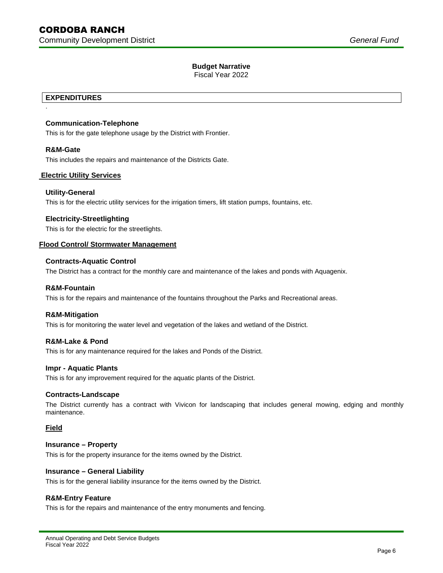Fiscal Year 2022

## **EXPENDITURES**

### **Communication-Telephone**

This is for the gate telephone usage by the District with Frontier.

### **R&M-Gate**

.

This includes the repairs and maintenance of the Districts Gate.

## **Electric Utility Services**

### **Utility-General**

This is for the electric utility services for the irrigation timers, lift station pumps, fountains, etc.

### **Electricity-Streetlighting**

This is for the electric for the streetlights.

# **Flood Control/ Stormwater Management Contracts-Aquatic Control**

### **Contracts-Aquatic Control**

The District has a contract for the monthly care and maintenance of the lakes and ponds with Aquagenix.

### **R&M-Fountain**

This is for the repairs and maintenance of the fountains throughout the Parks and Recreational areas.

### **R&M-Mitigation**

This is for monitoring the water level and vegetation of the lakes and wetland of the District.

### **R&M-Lake & Pond**

This is for any maintenance required for the lakes and Ponds of the District.

### **Impr - Aquatic Plants**

This is for any improvement required for the aquatic plants of the District.

### **Contracts-Landscape**

 The District currently has a contract with Vivicon for landscaping that includes general mowing, edging and monthly maintenance.

### **Field**

### **Insurance – Property**

This is for the property insurance for the items owned by the District.

### **Insurance – General Liability**

This is for the general liability insurance for the items owned by the District.

### **R&M-Entry Feature**

This is for the repairs and maintenance of the entry monuments and fencing.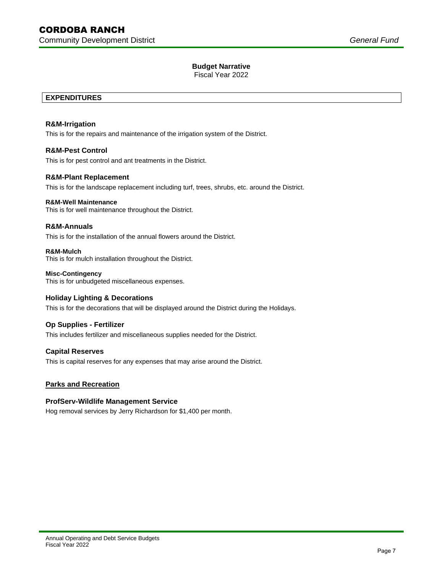Fiscal Year 2022

# **EXPENDITURES R&M-Irrigation**

This is for the repairs and maintenance of the irrigation system of the District.

## **R&M-Pest Control**

This is for pest control and ant treatments in the District.

### **R&M-Plant Replacement**

This is for the landscape replacement including turf, trees, shrubs, etc. around the District.

### **R&M-Well Maintenance**

This is for well maintenance throughout the District.

### **R&M-Annuals**

This is for the installation of the annual flowers around the District.

#### **R&M-Mulch** This is for mulch installation throughout the District.

 **Misc-Contingency** This is for unbudgeted miscellaneous expenses.

### **Holiday Lighting & Decorations**

This is for the decorations that will be displayed around the District during the Holidays.

### **Op Supplies - Fertilizer**

This includes fertilizer and miscellaneous supplies needed for the District.

### **Capital Reserves**

This is capital reserves for any expenses that may arise around the District.

### **Parks and Recreation**

### **ProfServ-Wildlife Management Service**

Hog removal services by Jerry Richardson for \$1,400 per month.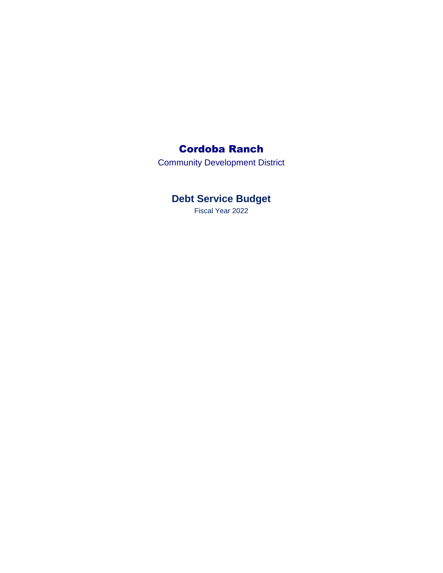## Cordoba Ranch

Community Development District

# **Debt Service Budget**

Fiscal Year 2022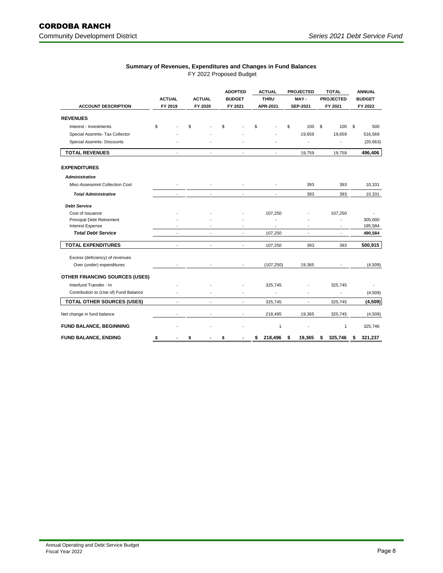### **Summary of Revenues, Expenditures and Changes in Fund Balances**  FY 2022 Proposed Budget

|                                       |               |                          |    |                | <b>ADOPTED</b><br><b>BUDGET</b> |                          | <b>ACTUAL</b><br><b>THRU</b> |                | <b>PROJECTED</b><br>MAY- |                 | <b>TOTAL</b> |                          | <b>ANNUAL</b> |           |
|---------------------------------------|---------------|--------------------------|----|----------------|---------------------------------|--------------------------|------------------------------|----------------|--------------------------|-----------------|--------------|--------------------------|---------------|-----------|
|                                       | <b>ACTUAL</b> |                          |    | <b>ACTUAL</b>  |                                 |                          |                              |                |                          |                 |              | <b>PROJECTED</b>         | <b>BUDGET</b> |           |
| <b>ACCOUNT DESCRIPTION</b>            |               | FY 2019                  |    | FY 2020        |                                 | FY 2021                  |                              | APR-2021       |                          | <b>SEP-2021</b> |              | FY 2021                  | FY 2022       |           |
| <b>REVENUES</b>                       |               |                          |    |                |                                 |                          |                              |                |                          |                 |              |                          |               |           |
| Interest - Investments                | \$            |                          | \$ |                | \$                              |                          | \$                           |                | \$                       | 100             | \$           | 100                      | \$            | 500       |
| Special Assmnts- Tax Collector        |               |                          |    |                |                                 |                          |                              |                |                          | 19,659          |              | 19,659                   |               | 516,569   |
| Special Assmnts- Discounts            |               |                          |    |                |                                 |                          |                              |                |                          | ٠               |              | ÷,                       |               | (20, 663) |
| <b>TOTAL REVENUES</b>                 |               |                          |    |                |                                 |                          |                              |                |                          | 19.759          |              | 19.759                   |               | 496,406   |
| <b>EXPENDITURES</b>                   |               |                          |    |                |                                 |                          |                              |                |                          |                 |              |                          |               |           |
| <b>Administrative</b>                 |               |                          |    |                |                                 |                          |                              |                |                          |                 |              |                          |               |           |
| Misc-Assessmnt Collection Cost        |               |                          |    |                |                                 |                          |                              |                |                          | 393             |              | 393                      |               | 10,331    |
| <b>Total Administrative</b>           |               | $\overline{\phantom{a}}$ |    | ٠              |                                 | $\sim$                   |                              | $\sim$         |                          | 393             |              | 393                      |               | 10,331    |
| <b>Debt Service</b>                   |               |                          |    |                |                                 |                          |                              |                |                          |                 |              |                          |               |           |
| Cost of Issuance                      |               |                          |    |                |                                 |                          |                              | 107,250        |                          |                 |              | 107,250                  |               |           |
| <b>Principal Debt Retirement</b>      |               |                          |    |                |                                 |                          |                              | $\overline{a}$ |                          |                 |              | $\overline{\phantom{a}}$ |               | 305,000   |
| <b>Interest Expense</b>               |               | $\overline{\phantom{a}}$ |    | ٠              |                                 | $\overline{\phantom{a}}$ |                              | $\blacksquare$ |                          | ٠               |              | $\sim$                   |               | 185,584   |
| <b>Total Debt Service</b>             |               | $\blacksquare$           |    | $\blacksquare$ |                                 | $\blacksquare$           |                              | 107,250        |                          | $\overline{a}$  |              | $\blacksquare$           |               | 490,584   |
| <b>TOTAL EXPENDITURES</b>             |               | $\blacksquare$           |    | ÷.             |                                 | $\overline{a}$           |                              | 107,250        |                          | 393             |              | 393                      |               | 500,915   |
| Excess (deficiency) of revenues       |               |                          |    |                |                                 |                          |                              |                |                          |                 |              |                          |               |           |
| Over (under) expenditures             |               |                          |    |                |                                 |                          |                              | (107, 250)     |                          | 19,365          |              | $\overline{\phantom{a}}$ |               | (4,509)   |
| <b>OTHER FINANCING SOURCES (USES)</b> |               |                          |    |                |                                 |                          |                              |                |                          |                 |              |                          |               |           |
| Interfund Transfer - In               |               |                          |    |                |                                 |                          |                              | 325,745        |                          |                 |              | 325,745                  |               |           |
| Contribution to (Use of) Fund Balance |               |                          |    |                |                                 |                          |                              |                |                          |                 |              | $\overline{a}$           |               | (4,509)   |
| <b>TOTAL OTHER SOURCES (USES)</b>     |               |                          |    |                |                                 |                          |                              | 325,745        |                          |                 |              | 325,745                  |               | (4,509)   |
| Net change in fund balance            |               | $\overline{\phantom{a}}$ |    |                |                                 | $\overline{\phantom{a}}$ |                              | 218,495        |                          | 19,365          |              | 325,745                  |               | (4,509)   |
| <b>FUND BALANCE, BEGINNING</b>        |               |                          |    |                |                                 |                          |                              | $\mathbf{1}$   |                          |                 |              | 1                        |               | 325,746   |
| <b>FUND BALANCE, ENDING</b>           | \$            |                          | \$ |                | \$                              | $\blacksquare$           | \$                           | 218,496        | \$                       | 19,365          | \$           | 325,746                  | \$            | 321,237   |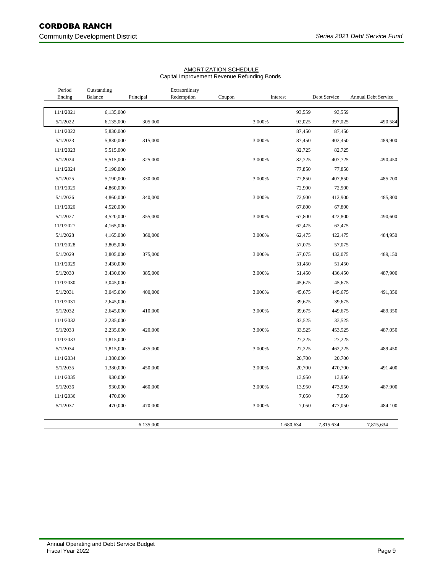## Community Development District **Series 2021** Debt Service Fund

| Period<br>Ending | Outstanding<br>Balance | Principal | Extraordinary<br>Redemption | Coupon | Interest |           | Debt Service | <b>Annual Debt Service</b> |
|------------------|------------------------|-----------|-----------------------------|--------|----------|-----------|--------------|----------------------------|
| 11/1/2021        | 6,135,000              |           |                             |        |          | 93,559    | 93,559       |                            |
| 5/1/2022         | 6,135,000              | 305,000   |                             |        | 3.000%   | 92,025    | 397,025      | 490,584                    |
| 11/1/2022        | 5,830,000              |           |                             |        |          | 87,450    | 87,450       |                            |
| 5/1/2023         | 5,830,000              | 315,000   |                             |        | 3.000%   | 87,450    | 402,450      | 489,900                    |
| 11/1/2023        | 5,515,000              |           |                             |        |          | 82,725    | 82,725       |                            |
| 5/1/2024         | 5,515,000              | 325,000   |                             |        | 3.000%   | 82,725    | 407,725      | 490,450                    |
| 11/1/2024        | 5,190,000              |           |                             |        |          | 77,850    | 77,850       |                            |
| 5/1/2025         | 5,190,000              | 330,000   |                             |        | 3.000%   | 77,850    | 407,850      | 485,700                    |
| 11/1/2025        | 4,860,000              |           |                             |        |          | 72,900    | 72,900       |                            |
| 5/1/2026         | 4,860,000              | 340,000   |                             |        | 3.000%   | 72,900    | 412,900      | 485,800                    |
| 11/1/2026        | 4,520,000              |           |                             |        |          | 67,800    | 67,800       |                            |
| 5/1/2027         | 4,520,000              | 355,000   |                             |        | 3.000%   | 67,800    | 422,800      | 490,600                    |
| 11/1/2027        | 4,165,000              |           |                             |        |          | 62,475    | 62,475       |                            |
| 5/1/2028         | 4,165,000              | 360,000   |                             |        | 3.000%   | 62,475    | 422,475      | 484,950                    |
| 11/1/2028        | 3,805,000              |           |                             |        |          | 57,075    | 57,075       |                            |
| 5/1/2029         | 3,805,000              | 375,000   |                             |        | 3.000%   | 57,075    | 432,075      | 489,150                    |
| 11/1/2029        | 3,430,000              |           |                             |        |          | 51,450    | 51,450       |                            |
| 5/1/2030         | 3,430,000              | 385,000   |                             |        | 3.000%   | 51,450    | 436,450      | 487,900                    |
| 11/1/2030        | 3,045,000              |           |                             |        |          | 45,675    | 45,675       |                            |
| 5/1/2031         | 3,045,000              | 400,000   |                             |        | 3.000%   | 45,675    | 445,675      | 491,350                    |
| 11/1/2031        | 2,645,000              |           |                             |        |          | 39,675    | 39,675       |                            |
| 5/1/2032         | 2,645,000              | 410,000   |                             |        | 3.000%   | 39,675    | 449,675      | 489,350                    |
| 11/1/2032        | 2,235,000              |           |                             |        |          | 33,525    | 33,525       |                            |
| 5/1/2033         | 2,235,000              | 420,000   |                             |        | 3.000%   | 33,525    | 453,525      | 487,050                    |
| 11/1/2033        | 1,815,000              |           |                             |        |          | 27,225    | 27,225       |                            |
| 5/1/2034         | 1,815,000              | 435,000   |                             |        | 3.000%   | 27,225    | 462,225      | 489,450                    |
| 11/1/2034        | 1,380,000              |           |                             |        |          | 20,700    | 20,700       |                            |
| 5/1/2035         | 1,380,000              | 450,000   |                             |        | 3.000%   | 20,700    | 470,700      | 491,400                    |
| 11/1/2035        | 930,000                |           |                             |        |          | 13,950    | 13,950       |                            |
| 5/1/2036         | 930,000                | 460,000   |                             |        | 3.000%   | 13,950    | 473,950      | 487,900                    |
| 11/1/2036        | 470,000                |           |                             |        |          | 7,050     | 7,050        |                            |
| 5/1/2037         | 470,000                | 470,000   |                             |        | 3.000%   | 7,050     | 477,050      | 484,100                    |
|                  |                        | 6,135,000 |                             |        |          | 1,680,634 | 7,815,634    | 7,815,634                  |

## AMORTIZATION SCHEDULE

## Capital Improvement Revenue Refunding Bonds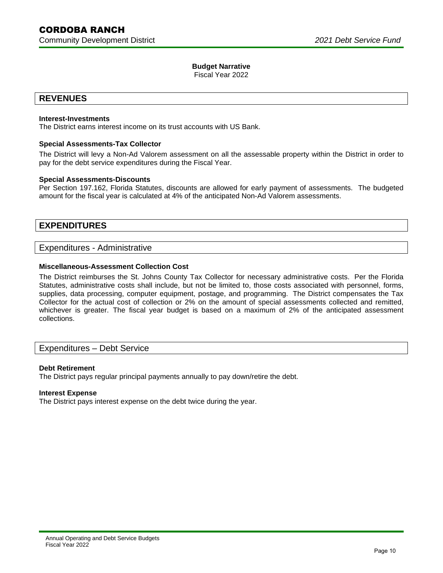Fiscal Year 2022

## **REVENUES**

### **Interest-Investments**

The District earns interest income on its trust accounts with US Bank.

### **Special Assessments-Tax Collector**

 The District will levy a Non-Ad Valorem assessment on all the assessable property within the District in order to pay for the debt service expenditures during the Fiscal Year.

### **Special Assessments-Discounts**

 Per Section 197.162, Florida Statutes, discounts are allowed for early payment of assessments. The budgeted amount for the fiscal year is calculated at 4% of the anticipated Non-Ad Valorem assessments.

## **EXPENDITURES**

### Expenditures - Administrative

## **Miscellaneous-Assessment Collection Cost**

 The District reimburses the St. Johns County Tax Collector for necessary administrative costs. Per the Florida Statutes, administrative costs shall include, but not be limited to, those costs associated with personnel, forms, supplies, data processing, computer equipment, postage, and programming. The District compensates the Tax Collector for the actual cost of collection or 2% on the amount of special assessments collected and remitted, whichever is greater. The fiscal year budget is based on a maximum of 2% of the anticipated assessment collections.

## Expenditures – Debt Service

### **Debt Retirement**

The District pays regular principal payments annually to pay down/retire the debt.

### **Interest Expense**

The District pays interest expense on the debt twice during the year.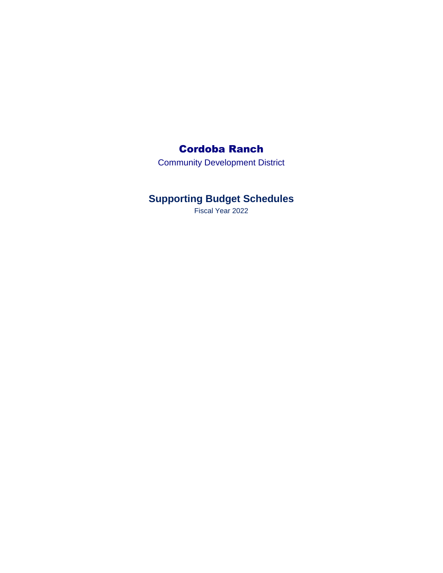## Cordoba Ranch

Community Development District

# **Supporting Budget Schedules**

Fiscal Year 2022